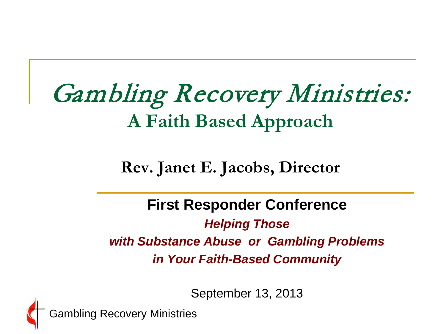#### Gambling Recovery Ministries: **A Faith Based Approach**

#### **Rev. Janet E. Jacobs, Director**

#### **First Responder Conference** *Helping Those with Substance Abuse or Gambling Problems in Your Faith-Based Community*

September 13, 2013

Gambling Recovery Ministries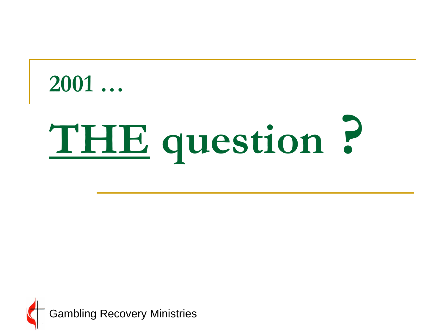#### **2001 …**

# **THE question ?**

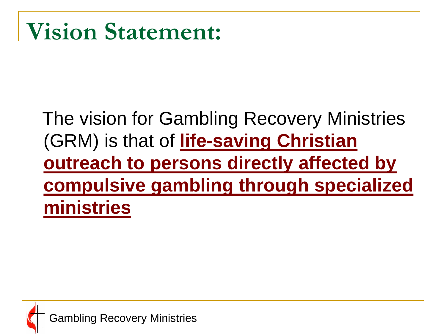#### **Vision Statement:**

#### The vision for Gambling Recovery Ministries (GRM) is that of **life-saving Christian outreach to persons directly affected by compulsive gambling through specialized ministries**

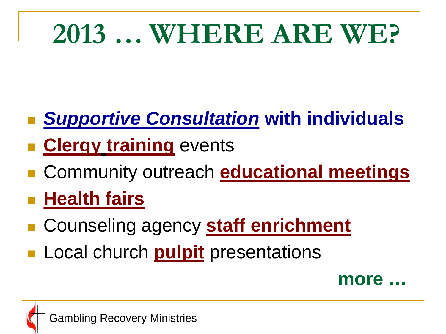### **2013 … WHERE ARE WE?**

- *Supportive Consultation* **with individuals**
- **Example 2 Figure 1 Figure 1 Figure 1 Figure 1 Figure 1 Figure 1 Figure 1 Figure 1 Figure 1 Figure 1 Figure 1 Figure 1 Figure 1 Figure 1 Figure 1 Figure 1 Figure 1 Figure 1 Figure 1 Figure 1 Figure 1 Figure 1 Figure 1 Figu**
- Community outreach **educational meetings**
- **Health fairs**
- Counseling agency **staff enrichment**
- **Local church pulpit** presentations

**more …**

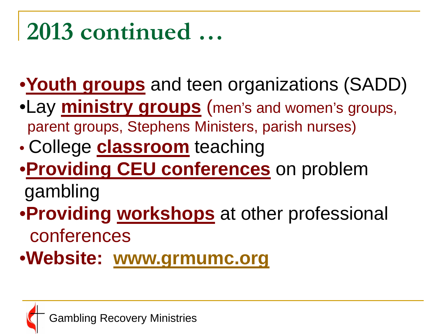#### **2013 continued …**

•**Youth groups** and teen organizations (SADD)

- •Lay **ministry groups** (men's and women's groups, parent groups, Stephens Ministers, parish nurses)
- College **classroom** teaching
- •**Providing CEU conferences** on problem

gambling

•**Providing workshops** at other professional conferences

•**Website: [www.grmumc.org](http://www.grmumc.org/)**

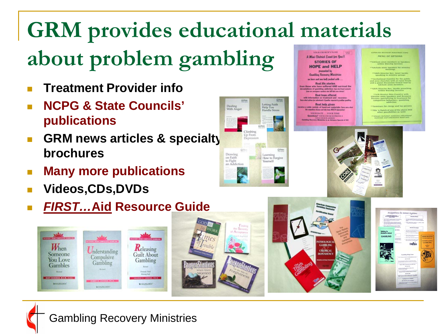#### **GRM provides educational materials about problem gambling VOUR CHURCH'S NAME A Mini-District Event for You!! STORIES OF**

- **Treatment Provider info**
- **NCPG & State Councils' publications**
- **GRM news articles & specialty brochures**
- **Many more publications**

 $\bigcup_{n \in \mathbb{N}}$ 

Compulsive

Gambling

**TITLE NUMBER OF** 

**X HAZELDES** 

**Videos,CDs,DVDs**

 $W_{\text{hen}}$ 

Someone

**You Love** 

**Gambles IN HONDARY MAN, CAC.** 

**WHAZELOUN** 

*FIRST…***Aid Resource Guide**

Releasing

**Guilt About** 

Gambling

**3 HAZELDEN** 





ista Recepente Mististri ation and nor-kell packed with

**Real life stories** who have suffered AND survived the<br>s of garddeg addiction: los jut los summit<br>a magne quies six ldf fot sur dread **Real hope offered** 

ion on treatment and vecovery:<br>statistic Lisates ispetel is public are Real help given de variety of hand-out materials: fass as angelsin dinna sul bis issu M2CH isjes

**YOUR DATE ... YOUR TIME** Questions? VOUR CRURCH PHONE #<br>VOUR CRURCH structus<br>fra Recovery Ministries is an Advance Special of Di

THOLOGIC

**GAMBLIN** 

CHEMICAL

MENU OF OPTIONS



| <b>STREET, CONSTRUCTION</b>                                                                  | <b><i>Billiands admission</i></b>                                                                                                                                |                                           |
|----------------------------------------------------------------------------------------------|------------------------------------------------------------------------------------------------------------------------------------------------------------------|-------------------------------------------|
| and a first control bearing the company<br><b>Automobile Avenue</b><br><b>BARBARASE</b><br>٠ | to be come to consider the<br>- Store pred mix same in a since page                                                                                              |                                           |
| 1. Protect care producers in time in orbits<br>a what are bring                              | empirate.<br><b>Records the United</b>                                                                                                                           |                                           |
| Talking to<br>Students About<br><b>GAMBLING</b>                                              | <b>ALCOHOL:</b><br><b>Services</b><br>2. Shill countries active lead for a programmer and<br>governo il scriptore in a chiesa<br>1. Profit intermediate research |                                           |
|                                                                                              | m.<br>2. Scottish Autora content comes digested<br><b>CONTRACTOR AND INCOME.</b>                                                                                 | <b>ADOLENCENT</b>                         |
|                                                                                              | 4. StartLook expenses and country<br>1214-1214<br><b>The East</b><br>1. Supply parties for the control and                                                       | <b>CONTRACTOR</b><br><b>COMPUTAIVE</b>    |
|                                                                                              | <b>Service</b><br><b>College and</b>                                                                                                                             | <b>GAMBLING</b><br>٠<br><b>CARD CARDS</b> |
|                                                                                              |                                                                                                                                                                  | <b>Paradox</b>                            |
|                                                                                              |                                                                                                                                                                  |                                           |
|                                                                                              | Gentley Hdy Lines<br>that of the data Product Landsing Bulletin Links                                                                                            |                                           |
|                                                                                              | paintings from James<br><b>Profit of Asia and China Constitutions</b>                                                                                            |                                           |
|                                                                                              | <b>Sales MacLead for him Barrer</b><br>ALC: NA PER                                                                                                               |                                           |
|                                                                                              | the risk production and this der forms often<br><b>Countries don Robin</b>                                                                                       |                                           |
|                                                                                              | <b>Sacred Current Leading Anglish, Summit</b><br>app \$5.000                                                                                                     |                                           |
|                                                                                              | <b>Security College Instructs &amp; Inc. (2014)</b>                                                                                                              |                                           |
|                                                                                              | <b>Lasting Bronzy Grands</b><br><b>BLOADLINGHOUSE</b>                                                                                                            |                                           |
|                                                                                              | -----<br>sented advertise manual                                                                                                                                 |                                           |

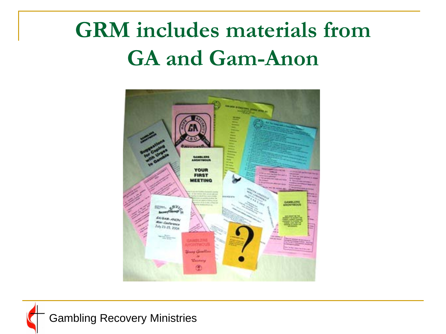#### **GRM includes materials from GA and Gam-Anon**



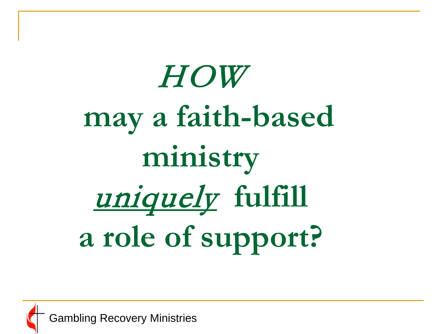# HOW  **may a faith-based ministry** uniquely **fulfill a role of support?**

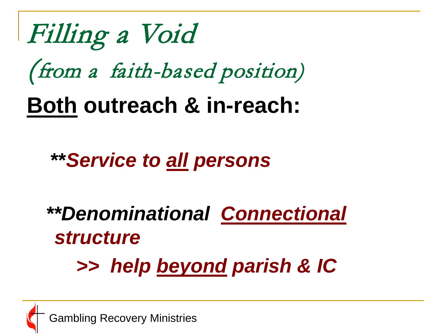

#### **\*\****Service to all persons*

#### *\*\*Denominational Connectional structure >> help beyond parish & IC*

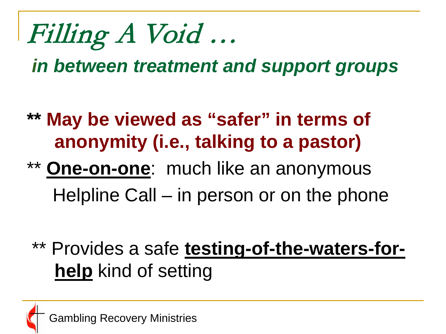Filling A Void …

*in between treatment and support groups*

- **\*\* May be viewed as "safer" in terms of anonymity (i.e., talking to a pastor)**
- \*\* **One-on-one**: much like an anonymous Helpline Call – in person or on the phone
	- \*\* Provides a safe **testing-of-the-waters-forhelp** kind of setting

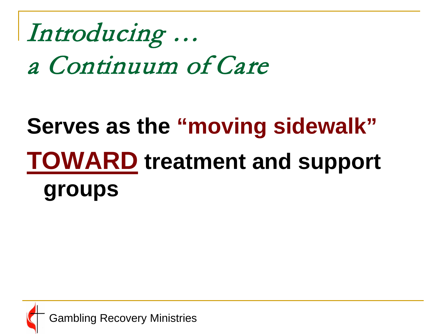Introducing … a Continuum of Care

#### **Serves as the "moving sidewalk" TOWARD treatment and support groups**

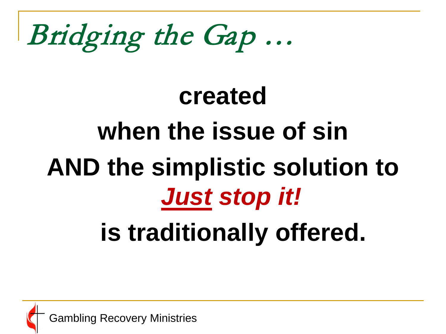### Bridging the Gap …

# **created when the issue of sin AND the simplistic solution to**  *Just stop it!*

#### **is traditionally offered.**

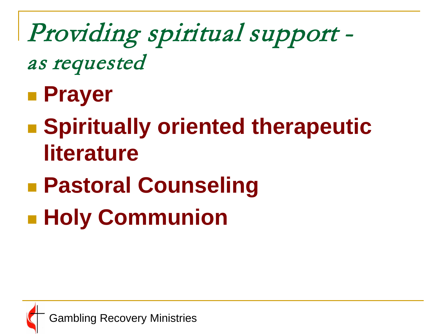#### Providing spiritual support as requested

- **Prayer**
- **Example 1 Spiritually oriented therapeutic literature**
- **Pastoral Counseling**
- **Holy Communion**

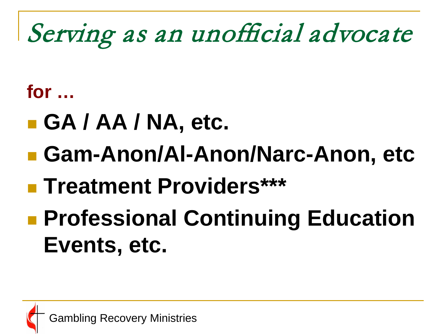### Serving as an unofficial advocate

#### **for …**

- **GA / AA / NA, etc.**
- Gam-Anon/Al-Anon/Narc-Anon, etc
- **Treatment Providers\*\*\***
- **Professional Continuing Education Events, etc.**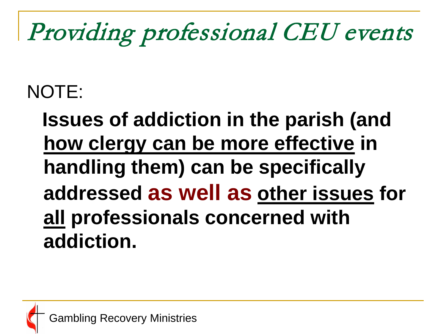### Providing professional CEU events

#### NOTE:

 **Issues of addiction in the parish (and how clergy can be more effective in handling them) can be specifically addressed as well as other issues for all professionals concerned with addiction.**

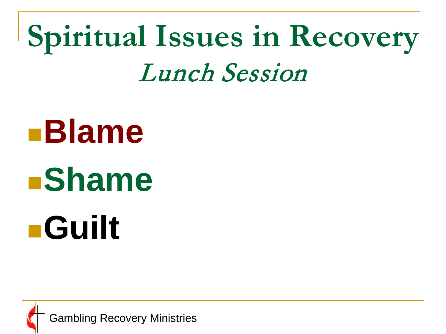### **Spiritual Issues in Recovery** Lunch Session

# **Blame Shame Guilt**

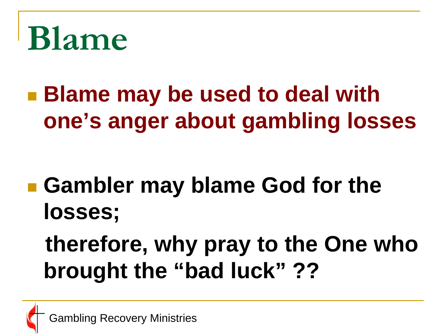

 **Blame may be used to deal with one's anger about gambling losses** 

- **Gambler may blame God for the losses;**
	- **therefore, why pray to the One who brought the "bad luck" ??**

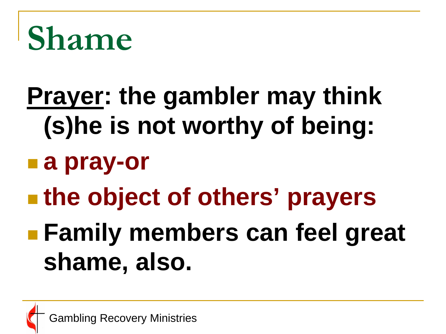

### **Prayer: the gambler may think (s)he is not worthy of being: a pray-or the object of others' prayers Family members can feel great shame, also.**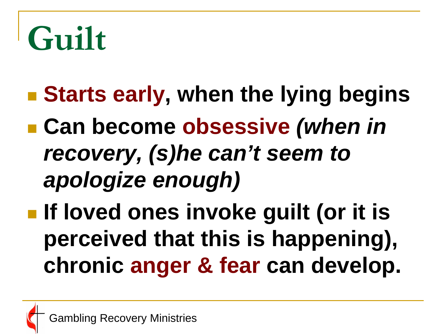## **Guilt**

- **Exactle Starts early, when the lying begins**
- Can become obsessive *(when in recovery, (s)he can't seem to apologize enough)*
- **If loved ones invoke guilt (or it is perceived that this is happening), chronic anger & fear can develop.**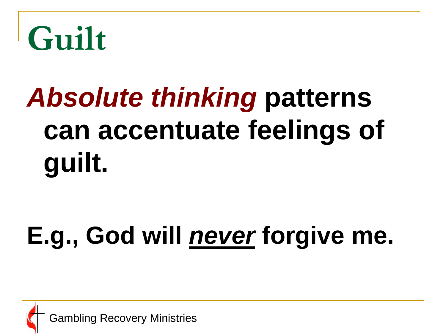

### *Absolute thinking* **patterns can accentuate feelings of guilt.**

### **E.g., God will** *never* **forgive me.**

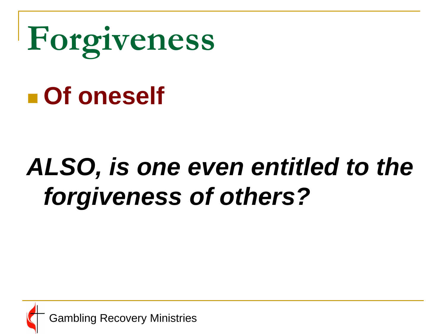

### *ALSO, is one even entitled to the forgiveness of others?*

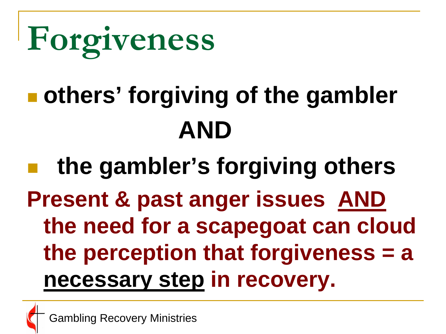

### **others' forgiving of the gambler AND**

 **the gambler's forgiving others Present & past anger issues AND the need for a scapegoat can cloud the perception that forgiveness = a necessary step in recovery.**

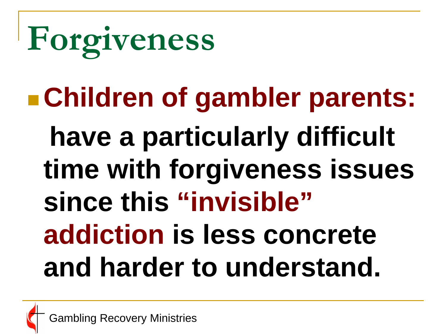# **Forgiveness**

### **Children of gambler parents: have a particularly difficult time with forgiveness issues since this "invisible" addiction is less concrete and harder to understand.**

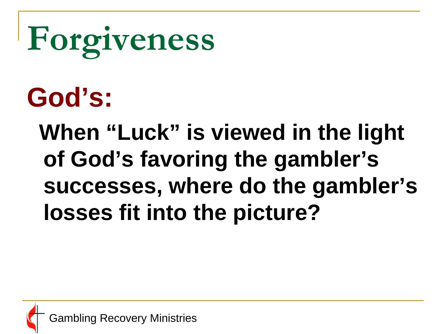# **Forgiveness**

**God's:**

 **When "Luck" is viewed in the light of God's favoring the gambler's successes, where do the gambler's losses fit into the picture?**

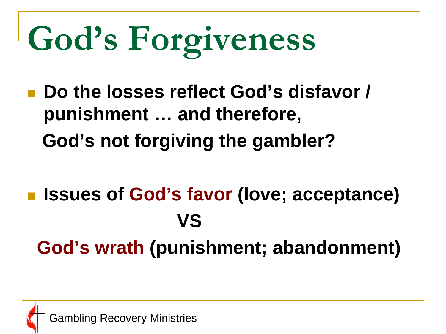# **God's Forgiveness**

■ Do the losses reflect God's disfavor / **punishment … and therefore, God's not forgiving the gambler?**

 **Issues of God's favor (love; acceptance)** *<u>VS</u>*  **God's wrath (punishment; abandonment)** 

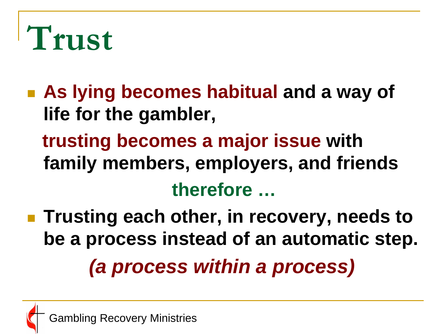

- **As lying becomes habitual and a way of life for the gambler, trusting becomes a major issue with family members, employers, and friends therefore …**
- **Trusting each other, in recovery, needs to be a process instead of an automatic step.** *(a process within a process)*

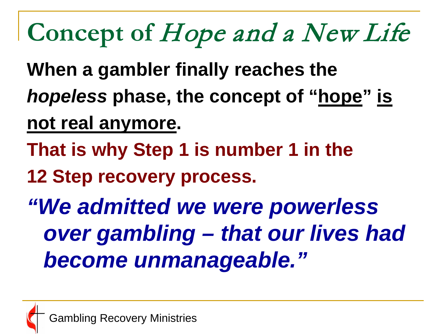### **Concept of** Hope and a New Life

- **When a gambler finally reaches the**
- *hopeless* **phase, the concept of "hope" is**
- **not real anymore.**
- **That is why Step 1 is number 1 in the**
- **12 Step recovery process.**
- *"We admitted we were powerless over gambling – that our lives had become unmanageable."*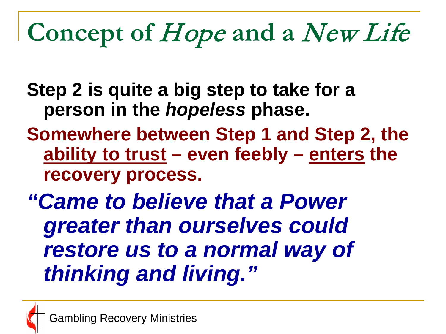### **Concept of** Hope **and a** New Life

**Step 2 is quite a big step to take for a person in the** *hopeless* **phase.**

- **Somewhere between Step 1 and Step 2, the ability to trust – even feebly – enters the recovery process.**
- *"Came to believe that a Power greater than ourselves could restore us to a normal way of thinking and living."*

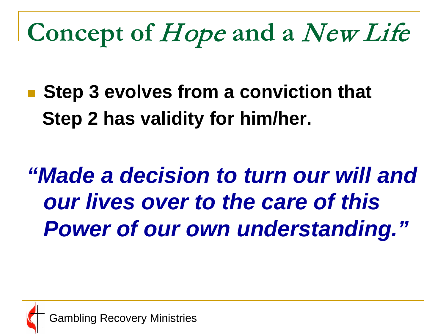**Concept of** Hope **and a** New Life

■ Step 3 evolves from a conviction that  **Step 2 has validity for him/her.**

*"Made a decision to turn our will and our lives over to the care of this Power of our own understanding."*

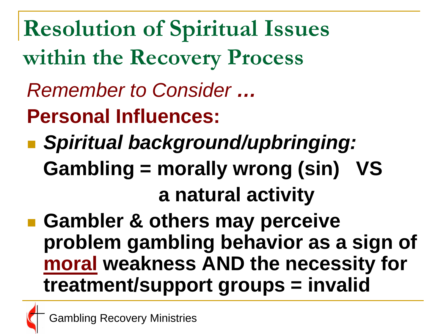**Resolution of Spiritual Issues within the Recovery Process**

- *Remember to Consider …*
- **Personal Influences:**
- *Spiritual background/upbringing:*  **Gambling = morally wrong (sin) VS a natural activity**
- **Gambler & others may perceive problem gambling behavior as a sign of moral weakness AND the necessity for treatment/support groups = invalid**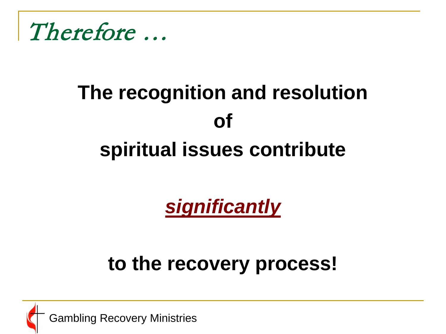

#### **The recognition and resolution of spiritual issues contribute**

*significantly*

#### **to the recovery process!**